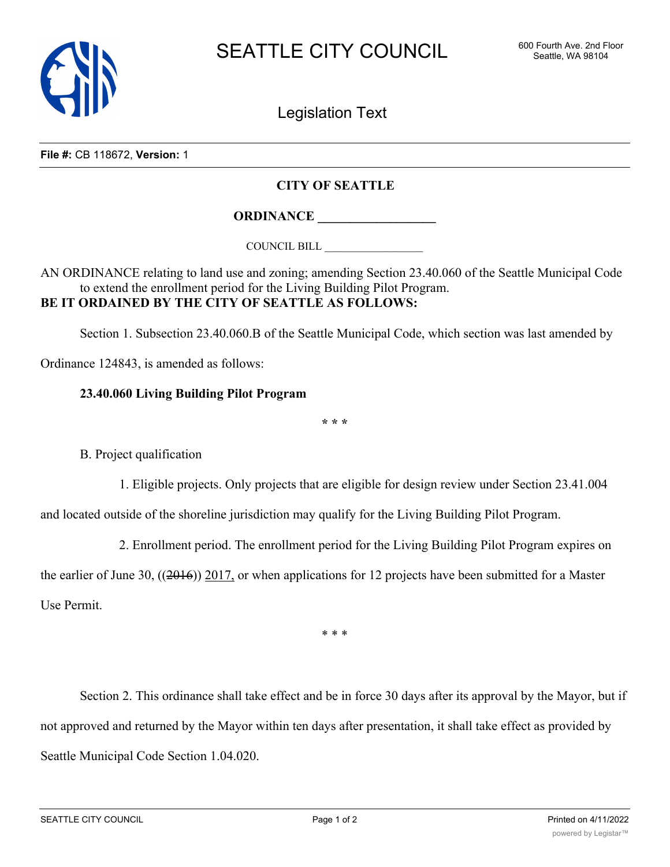

Legislation Text

**File #:** CB 118672, **Version:** 1

## **CITY OF SEATTLE**

**ORDINANCE \_\_\_\_\_\_\_\_\_\_\_\_\_\_\_\_\_\_**

COUNCIL BILL \_\_\_\_\_\_\_\_\_\_\_\_\_\_\_\_\_\_

AN ORDINANCE relating to land use and zoning; amending Section 23.40.060 of the Seattle Municipal Code to extend the enrollment period for the Living Building Pilot Program. **BE IT ORDAINED BY THE CITY OF SEATTLE AS FOLLOWS:**

Section 1. Subsection 23.40.060.B of the Seattle Municipal Code, which section was last amended by

Ordinance 124843, is amended as follows:

## **23.40.060 Living Building Pilot Program**

**\* \* \***

B. Project qualification

1. Eligible projects. Only projects that are eligible for design review under Section 23.41.004

and located outside of the shoreline jurisdiction may qualify for the Living Building Pilot Program.

2. Enrollment period. The enrollment period for the Living Building Pilot Program expires on

the earlier of June 30,  $((2016))$  2017, or when applications for 12 projects have been submitted for a Master Use Permit.

\* \* \*

Section 2. This ordinance shall take effect and be in force 30 days after its approval by the Mayor, but if not approved and returned by the Mayor within ten days after presentation, it shall take effect as provided by Seattle Municipal Code Section 1.04.020.